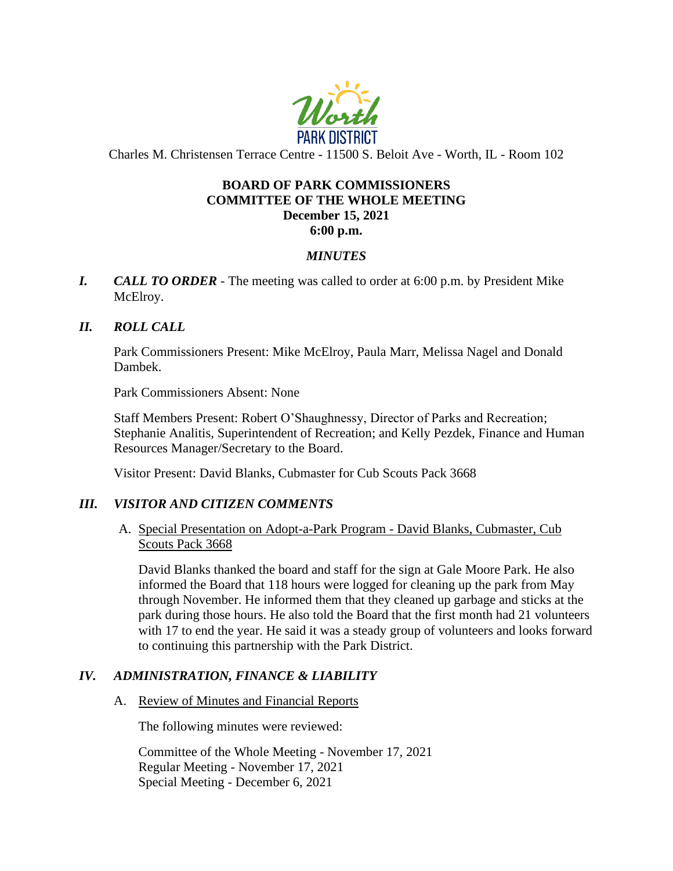

Charles M. Christensen Terrace Centre - 11500 S. Beloit Ave - Worth, IL - Room 102

# **BOARD OF PARK COMMISSIONERS COMMITTEE OF THE WHOLE MEETING December 15, 2021 6:00 p.m.**

# *MINUTES*

*I. CALL TO ORDER* - The meeting was called to order at 6:00 p.m. by President Mike McElroy.

# *II. ROLL CALL*

Park Commissioners Present: Mike McElroy, Paula Marr, Melissa Nagel and Donald Dambek.

Park Commissioners Absent: None

Staff Members Present: Robert O'Shaughnessy, Director of Parks and Recreation; Stephanie Analitis, Superintendent of Recreation; and Kelly Pezdek, Finance and Human Resources Manager/Secretary to the Board.

Visitor Present: David Blanks, Cubmaster for Cub Scouts Pack 3668

## *III. VISITOR AND CITIZEN COMMENTS*

A. Special Presentation on Adopt-a-Park Program - David Blanks, Cubmaster, Cub Scouts Pack 3668

David Blanks thanked the board and staff for the sign at Gale Moore Park. He also informed the Board that 118 hours were logged for cleaning up the park from May through November. He informed them that they cleaned up garbage and sticks at the park during those hours. He also told the Board that the first month had 21 volunteers with 17 to end the year. He said it was a steady group of volunteers and looks forward to continuing this partnership with the Park District.

## *IV. ADMINISTRATION, FINANCE & LIABILITY*

## A. Review of Minutes and Financial Reports

The following minutes were reviewed:

Committee of the Whole Meeting - November 17, 2021 Regular Meeting - November 17, 2021 Special Meeting - December 6, 2021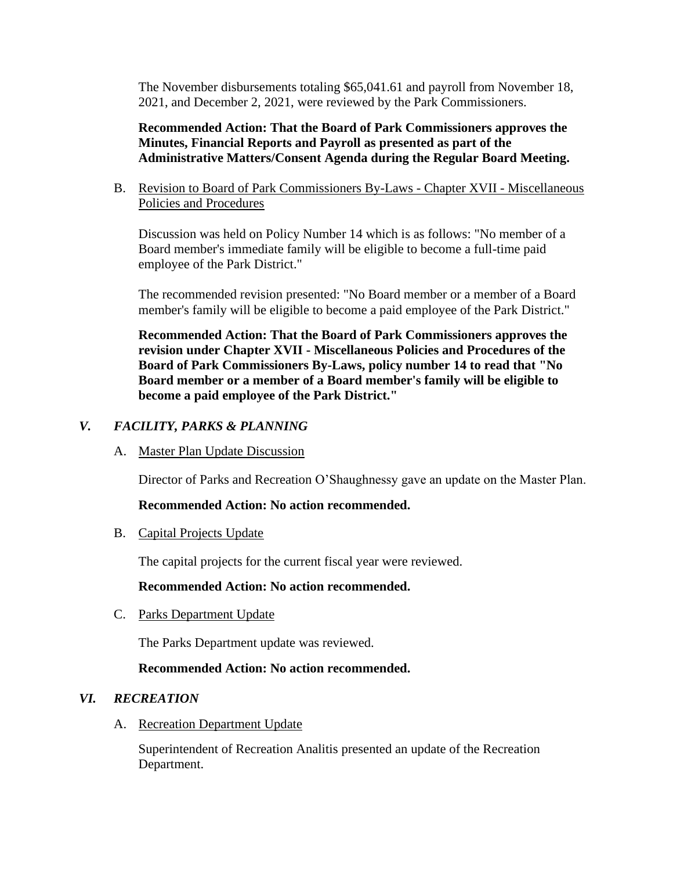The November disbursements totaling \$65,041.61 and payroll from November 18, 2021, and December 2, 2021, were reviewed by the Park Commissioners.

**Recommended Action: That the Board of Park Commissioners approves the Minutes, Financial Reports and Payroll as presented as part of the Administrative Matters/Consent Agenda during the Regular Board Meeting.**

B. Revision to Board of Park Commissioners By-Laws - Chapter XVII - Miscellaneous Policies and Procedures

Discussion was held on Policy Number 14 which is as follows: "No member of a Board member's immediate family will be eligible to become a full-time paid employee of the Park District."

The recommended revision presented: "No Board member or a member of a Board member's family will be eligible to become a paid employee of the Park District."

**Recommended Action: That the Board of Park Commissioners approves the revision under Chapter XVII - Miscellaneous Policies and Procedures of the Board of Park Commissioners By-Laws, policy number 14 to read that "No Board member or a member of a Board member's family will be eligible to become a paid employee of the Park District."**

# *V. FACILITY, PARKS & PLANNING*

A. Master Plan Update Discussion

Director of Parks and Recreation O'Shaughnessy gave an update on the Master Plan.

## **Recommended Action: No action recommended.**

B. Capital Projects Update

The capital projects for the current fiscal year were reviewed.

#### **Recommended Action: No action recommended.**

C. Parks Department Update

The Parks Department update was reviewed.

## **Recommended Action: No action recommended.**

## *VI. RECREATION*

A. Recreation Department Update

Superintendent of Recreation Analitis presented an update of the Recreation Department.